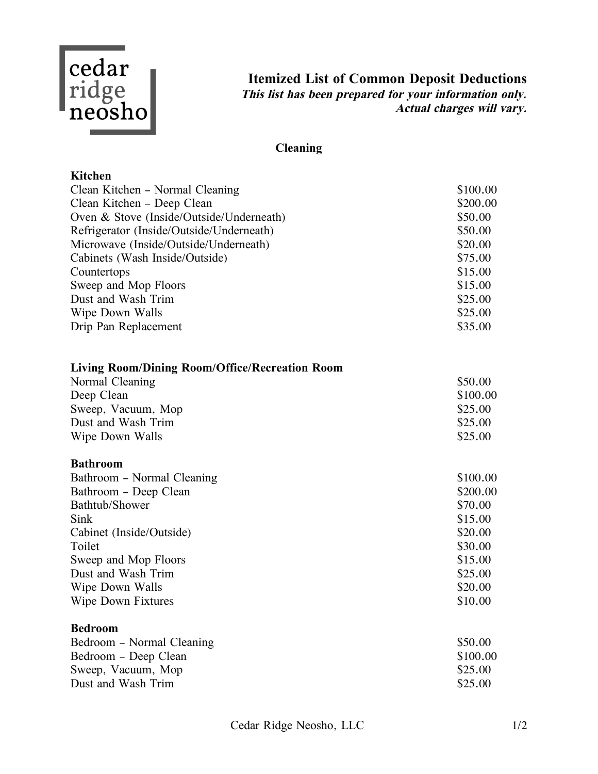

**Itemized List of Common Deposit Deductions This list has been prepared for your information only. Actual charges will vary.**

# **Cleaning**

### **Kitchen**

| Clean Kitchen – Normal Cleaning          | \$100.00 |
|------------------------------------------|----------|
| Clean Kitchen – Deep Clean               | \$200.00 |
| Oven & Stove (Inside/Outside/Underneath) | \$50.00  |
| Refrigerator (Inside/Outside/Underneath) | \$50.00  |
| Microwave (Inside/Outside/Underneath)    | \$20.00  |
| Cabinets (Wash Inside/Outside)           | \$75.00  |
| Countertops                              | \$15.00  |
| Sweep and Mop Floors                     | \$15.00  |
| Dust and Wash Trim                       | \$25.00  |
| Wipe Down Walls                          | \$25.00  |
| Drip Pan Replacement                     | \$35.00  |

| <b>Living Room/Dining Room/Office/Recreation Room</b> |  |  |  |
|-------------------------------------------------------|--|--|--|
|                                                       |  |  |  |
|                                                       |  |  |  |

| Normal Cleaning    | \$50.00  |
|--------------------|----------|
| Deep Clean         | \$100.00 |
| Sweep, Vacuum, Mop | \$25.00  |
| Dust and Wash Trim | \$25.00  |
| Wipe Down Walls    | \$25.00  |

#### **Bathroom**

| \$100.00 |
|----------|
| \$200.00 |
| \$70.00  |
| \$15.00  |
| \$20.00  |
| \$30.00  |
| \$15.00  |
| \$25.00  |
| \$20.00  |
| \$10.00  |
|          |

#### **Bedroom**

| Bedroom – Normal Cleaning | \$50.00  |
|---------------------------|----------|
| Bedroom – Deep Clean      | \$100.00 |
| Sweep, Vacuum, Mop        | \$25.00  |
| Dust and Wash Trim        | \$25.00  |